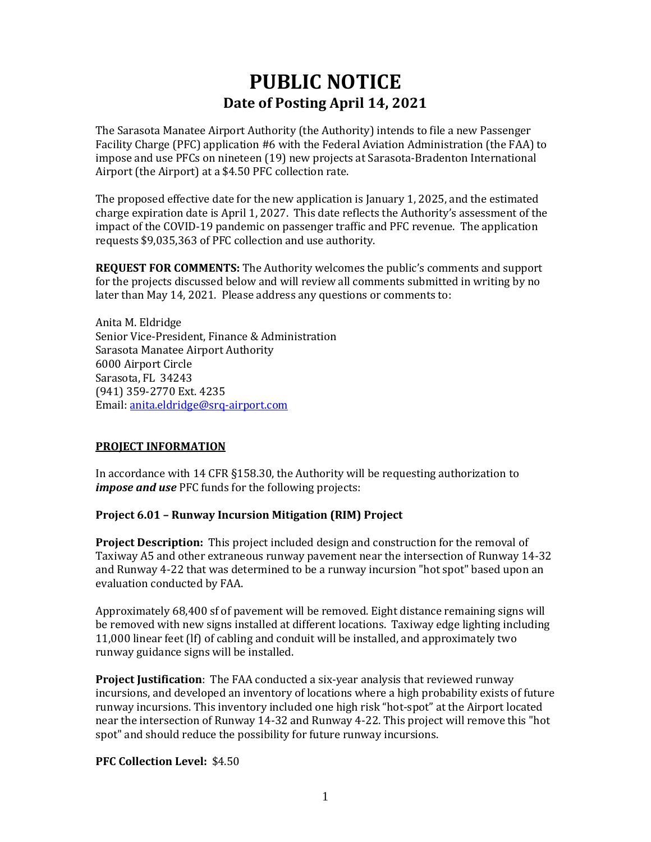# **PUBLIC NOTICE Date of Posting April 14, 2021**

The Sarasota Manatee Airport Authority (the Authority) intends to file a new Passenger Facility Charge (PFC) application #6 with the Federal Aviation Administration (the FAA) to impose and use PFCs on nineteen (19) new projects at Sarasota-Bradenton International Airport (the Airport) at a \$4.50 PFC collection rate.

The proposed effective date for the new application is January 1, 2025, and the estimated charge expiration date is April 1, 2027. This date reflects the Authority's assessment of the impact of the COVID-19 pandemic on passenger traffic and PFC revenue. The application requests \$9,035,363 of PFC collection and use authority.

**REQUEST FOR COMMENTS:** The Authority welcomes the public's comments and support for the projects discussed below and will review all comments submitted in writing by no later than May 14, 2021. Please address any questions or comments to:

Anita M. Eldridge Senior Vice-President, Finance & Administration Sarasota Manatee Airport Authority 6000 Airport Circle Sarasota, FL 34243 (941) 359-2770 Ext. 4235 Email: [anita.eldridge@srq-airport.com](mailto:martin.lange@srq-airport.com)

# **PROJECT INFORMATION**

In accordance with 14 CFR §158.30, the Authority will be requesting authorization to *impose and use* PFC funds for the following projects:

# **Project 6.01 – Runway Incursion Mitigation (RIM) Project**

**Project Description:** This project included design and construction for the removal of Taxiway A5 and other extraneous runway pavement near the intersection of Runway 14-32 and Runway 4-22 that was determined to be a runway incursion "hot spot" based upon an evaluation conducted by FAA.

Approximately 68,400 sf of pavement will be removed. Eight distance remaining signs will be removed with new signs installed at different locations. Taxiway edge lighting including 11,000 linear feet (lf) of cabling and conduit will be installed, and approximately two runway guidance signs will be installed.

**Project Justification**: The FAA conducted a six-year analysis that reviewed runway incursions, and developed an inventory of locations where a high probability exists of future runway incursions. This inventory included one high risk "hot-spot" at the Airport located near the intersection of Runway 14-32 and Runway 4-22. This project will remove this "hot spot" and should reduce the possibility for future runway incursions.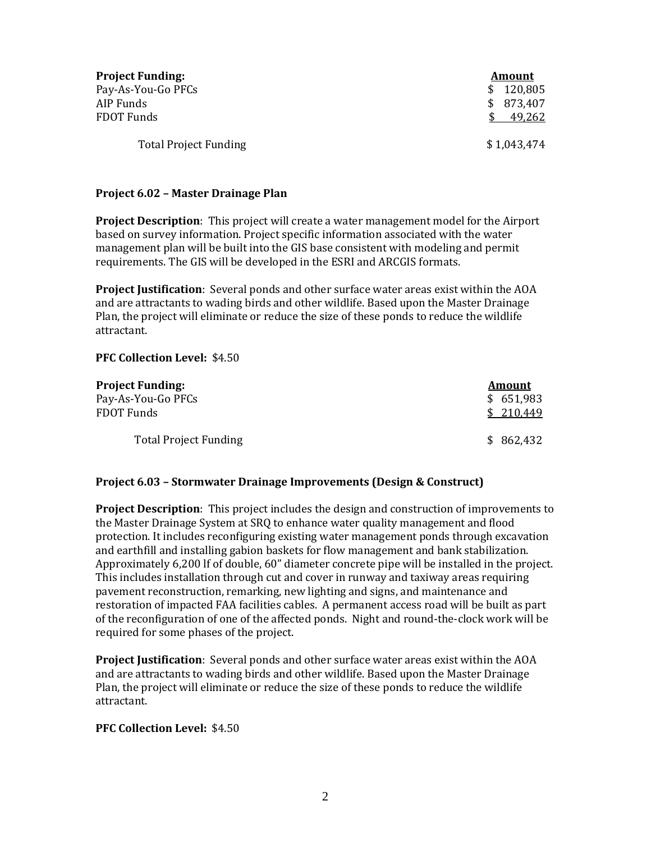| <b>Project Funding:</b>      | Amount      |
|------------------------------|-------------|
| Pay-As-You-Go PFCs           | \$120,805   |
| AIP Funds                    | \$873,407   |
| FDOT Funds                   | 49,262      |
| <b>Total Project Funding</b> | \$1,043,474 |

#### **Project 6.02 – Master Drainage Plan**

**Project Description**: This project will create a water management model for the Airport based on survey information. Project specific information associated with the water management plan will be built into the GIS base consistent with modeling and permit requirements. The GIS will be developed in the ESRI and ARCGIS formats.

**Project Justification**: Several ponds and other surface water areas exist within the AOA and are attractants to wading birds and other wildlife. Based upon the Master Drainage Plan, the project will eliminate or reduce the size of these ponds to reduce the wildlife attractant.

#### **PFC Collection Level:** \$4.50

| <b>Project Funding:</b>      | <b>Amount</b> |
|------------------------------|---------------|
| Pay-As-You-Go PFCs           | \$651,983     |
| FDOT Funds                   | \$210,449     |
| <b>Total Project Funding</b> | \$862,432     |

## **Project 6.03 – Stormwater Drainage Improvements (Design & Construct)**

**Project Description**: This project includes the design and construction of improvements to the Master Drainage System at SRQ to enhance water quality management and flood protection. It includes reconfiguring existing water management ponds through excavation and earthfill and installing gabion baskets for flow management and bank stabilization. Approximately 6,200 lf of double, 60" diameter concrete pipe will be installed in the project. This includes installation through cut and cover in runway and taxiway areas requiring pavement reconstruction, remarking, new lighting and signs, and maintenance and restoration of impacted FAA facilities cables. A permanent access road will be built as part of the reconfiguration of one of the affected ponds. Night and round-the-clock work will be required for some phases of the project.

**Project Justification**: Several ponds and other surface water areas exist within the AOA and are attractants to wading birds and other wildlife. Based upon the Master Drainage Plan, the project will eliminate or reduce the size of these ponds to reduce the wildlife attractant.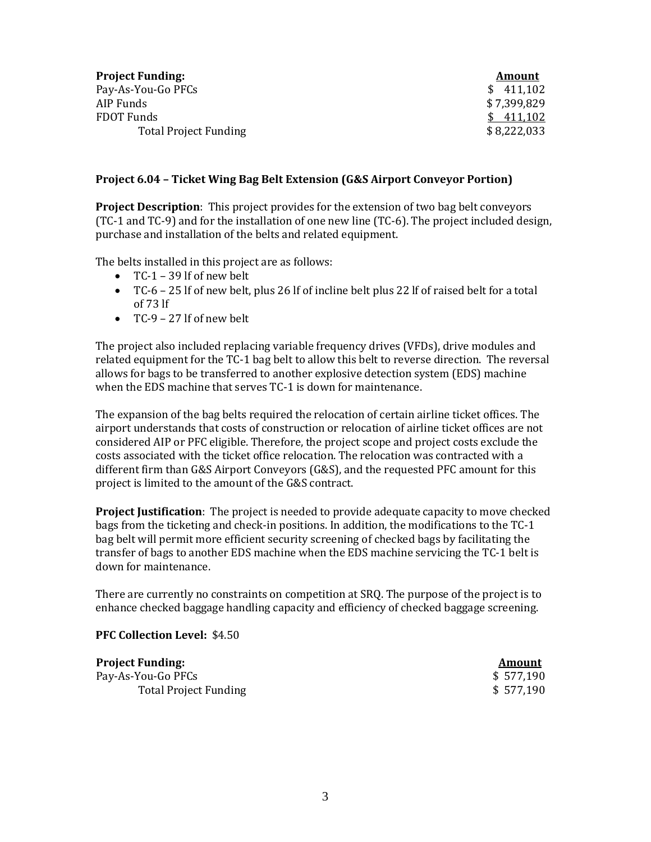| <b>Project Funding:</b>      | Amount      |
|------------------------------|-------------|
| Pay-As-You-Go PFCs           | \$411,102   |
| AIP Funds                    | \$7,399,829 |
| FDOT Funds                   | \$411,102   |
| <b>Total Project Funding</b> | \$8,222,033 |

## **Project 6.04 – Ticket Wing Bag Belt Extension (G&S Airport Conveyor Portion)**

**Project Description**: This project provides for the extension of two bag belt conveyors (TC-1 and TC-9) and for the installation of one new line (TC-6). The project included design, purchase and installation of the belts and related equipment.

The belts installed in this project are as follows:

- TC-1 39 lf of new belt
- TC-6 25 lf of new belt, plus 26 lf of incline belt plus 22 lf of raised belt for a total of 73 lf
- $\bullet$  TC-9 27 If of new belt

The project also included replacing variable frequency drives (VFDs), drive modules and related equipment for the TC-1 bag belt to allow this belt to reverse direction. The reversal allows for bags to be transferred to another explosive detection system (EDS) machine when the EDS machine that serves TC-1 is down for maintenance.

The expansion of the bag belts required the relocation of certain airline ticket offices. The airport understands that costs of construction or relocation of airline ticket offices are not considered AIP or PFC eligible. Therefore, the project scope and project costs exclude the costs associated with the ticket office relocation. The relocation was contracted with a different firm than G&S Airport Conveyors (G&S), and the requested PFC amount for this project is limited to the amount of the G&S contract.

**Project Justification**: The project is needed to provide adequate capacity to move checked bags from the ticketing and check-in positions. In addition, the modifications to the TC-1 bag belt will permit more efficient security screening of checked bags by facilitating the transfer of bags to another EDS machine when the EDS machine servicing the TC-1 belt is down for maintenance.

There are currently no constraints on competition at SRQ. The purpose of the project is to enhance checked baggage handling capacity and efficiency of checked baggage screening.

## **PFC Collection Level:** \$4.50

**Project Funding:** Amount Pay-As-You-Go PFCs<br>
Total Project Funding<br>
\$ 577,190<br>
\$ 577,190 Total Project Funding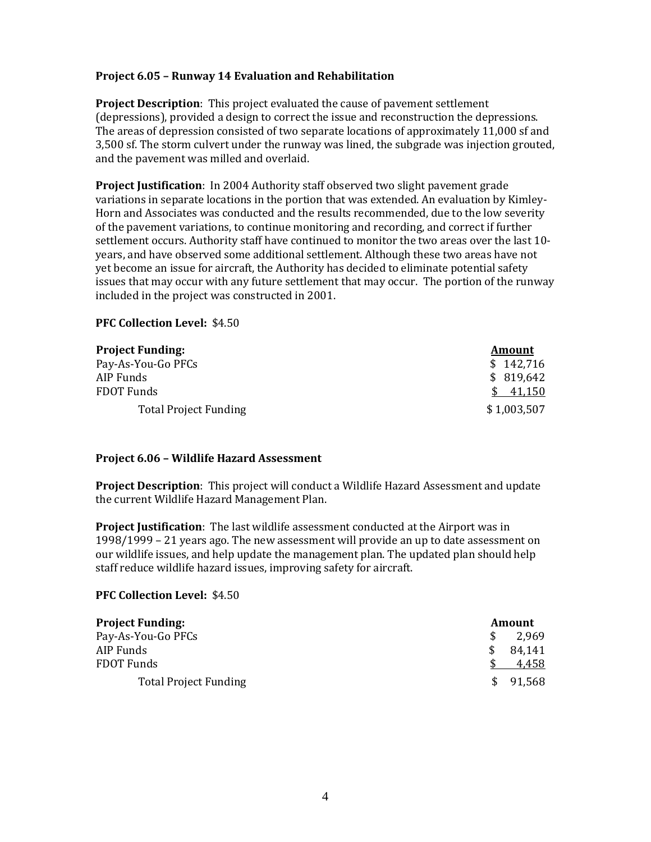# **Project 6.05 – Runway 14 Evaluation and Rehabilitation**

**Project Description**: This project evaluated the cause of pavement settlement (depressions), provided a design to correct the issue and reconstruction the depressions. The areas of depression consisted of two separate locations of approximately 11,000 sf and 3,500 sf. The storm culvert under the runway was lined, the subgrade was injection grouted, and the pavement was milled and overlaid.

**Project Justification**: In 2004 Authority staff observed two slight pavement grade variations in separate locations in the portion that was extended. An evaluation by Kimley-Horn and Associates was conducted and the results recommended, due to the low severity of the pavement variations, to continue monitoring and recording, and correct if further settlement occurs. Authority staff have continued to monitor the two areas over the last 10 years, and have observed some additional settlement. Although these two areas have not yet become an issue for aircraft, the Authority has decided to eliminate potential safety issues that may occur with any future settlement that may occur. The portion of the runway included in the project was constructed in 2001.

#### **PFC Collection Level:** \$4.50

| <b>Project Funding:</b>      | Amount      |
|------------------------------|-------------|
| Pay-As-You-Go PFCs           | \$142,716   |
| AIP Funds                    | \$819,642   |
| <b>FDOT Funds</b>            | 41,150      |
| <b>Total Project Funding</b> | \$1,003,507 |

## **Project 6.06 – Wildlife Hazard Assessment**

**Project Description**: This project will conduct a Wildlife Hazard Assessment and update the current Wildlife Hazard Management Plan.

**Project Justification**: The last wildlife assessment conducted at the Airport was in 1998/1999 – 21 years ago. The new assessment will provide an up to date assessment on our wildlife issues, and help update the management plan. The updated plan should help staff reduce wildlife hazard issues, improving safety for aircraft.

| <b>Project Funding:</b>      | Amount        |
|------------------------------|---------------|
| Pay-As-You-Go PFCs           | 2.969         |
| AIP Funds                    | 84,141<br>·SS |
| FDOT Funds                   | 4,458         |
| <b>Total Project Funding</b> | \$ 91,568     |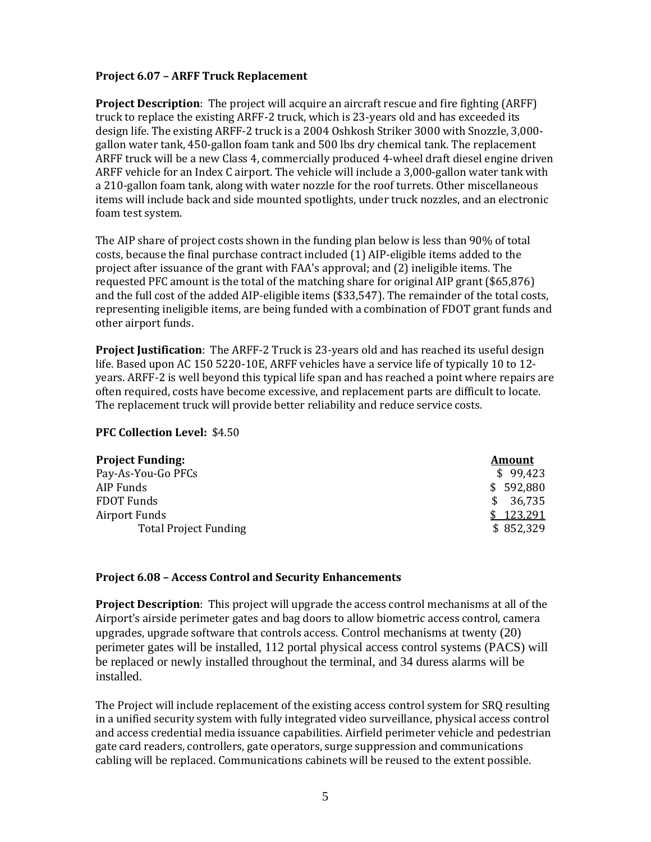# **Project 6.07 – ARFF Truck Replacement**

**Project Description**: The project will acquire an aircraft rescue and fire fighting (ARFF) truck to replace the existing ARFF-2 truck, which is 23-years old and has exceeded its design life. The existing ARFF-2 truck is a 2004 Oshkosh Striker 3000 with Snozzle, 3,000 gallon water tank, 450-gallon foam tank and 500 lbs dry chemical tank. The replacement ARFF truck will be a new Class 4, commercially produced 4-wheel draft diesel engine driven ARFF vehicle for an Index C airport. The vehicle will include a 3,000-gallon water tank with a 210-gallon foam tank, along with water nozzle for the roof turrets. Other miscellaneous items will include back and side mounted spotlights, under truck nozzles, and an electronic foam test system.

The AIP share of project costs shown in the funding plan below is less than 90% of total costs, because the final purchase contract included (1) AIP-eligible items added to the project after issuance of the grant with FAA's approval; and (2) ineligible items. The requested PFC amount is the total of the matching share for original AIP grant (\$65,876) and the full cost of the added AIP-eligible items (\$33,547). The remainder of the total costs, representing ineligible items, are being funded with a combination of FDOT grant funds and other airport funds.

**Project Justification**: The ARFF-2 Truck is 23-years old and has reached its useful design life. Based upon AC 150 5220-10E, ARFF vehicles have a service life of typically 10 to 12 years. ARFF-2 is well beyond this typical life span and has reached a point where repairs are often required, costs have become excessive, and replacement parts are difficult to locate. The replacement truck will provide better reliability and reduce service costs.

## **PFC Collection Level:** \$4.50

| <b>Project Funding:</b>      | Amount        |
|------------------------------|---------------|
| Pay-As-You-Go PFCs           | \$99,423      |
| AIP Funds                    | \$592,880     |
| <b>FDOT Funds</b>            | 36,735<br>SS. |
| Airport Funds                | 123,291       |
| <b>Total Project Funding</b> | \$852,329     |

## **Project 6.08 – Access Control and Security Enhancements**

**Project Description**: This project will upgrade the access control mechanisms at all of the Airport's airside perimeter gates and bag doors to allow biometric access control, camera upgrades, upgrade software that controls access. Control mechanisms at twenty (20) perimeter gates will be installed, 112 portal physical access control systems (PACS) will be replaced or newly installed throughout the terminal, and 34 duress alarms will be installed.

The Project will include replacement of the existing access control system for SRQ resulting in a unified security system with fully integrated video surveillance, physical access control and access credential media issuance capabilities. Airfield perimeter vehicle and pedestrian gate card readers, controllers, gate operators, surge suppression and communications cabling will be replaced. Communications cabinets will be reused to the extent possible.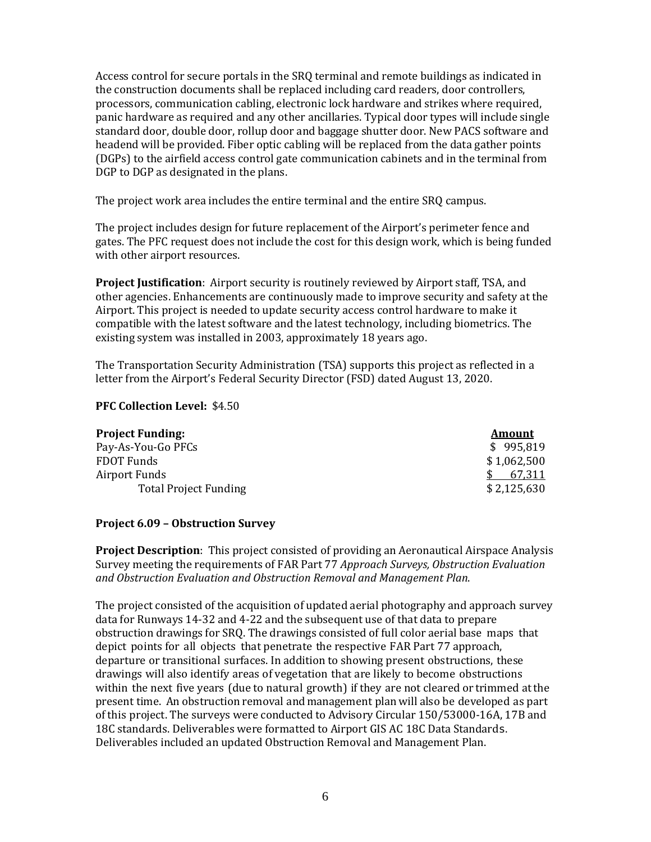Access control for secure portals in the SRQ terminal and remote buildings as indicated in the construction documents shall be replaced including card readers, door controllers, processors, communication cabling, electronic lock hardware and strikes where required, panic hardware as required and any other ancillaries. Typical door types will include single standard door, double door, rollup door and baggage shutter door. New PACS software and headend will be provided. Fiber optic cabling will be replaced from the data gather points (DGPs) to the airfield access control gate communication cabinets and in the terminal from DGP to DGP as designated in the plans.

The project work area includes the entire terminal and the entire SRQ campus.

The project includes design for future replacement of the Airport's perimeter fence and gates. The PFC request does not include the cost for this design work, which is being funded with other airport resources.

**Project Justification**: Airport security is routinely reviewed by Airport staff, TSA, and other agencies. Enhancements are continuously made to improve security and safety at the Airport. This project is needed to update security access control hardware to make it compatible with the latest software and the latest technology, including biometrics. The existing system was installed in 2003, approximately 18 years ago.

The Transportation Security Administration (TSA) supports this project as reflected in a letter from the Airport's Federal Security Director (FSD) dated August 13, 2020.

## **PFC Collection Level:** \$4.50

| Amount      |
|-------------|
| \$995,819   |
| \$1,062,500 |
| 67.311      |
| \$2,125,630 |
|             |

# **Project 6.09 – Obstruction Survey**

**Project Description**: This project consisted of providing an Aeronautical Airspace Analysis Survey meeting the requirements of FAR Part 77 *Approach Surveys, Obstruction Evaluation and Obstruction Evaluation and Obstruction Removal and Management Plan*.

The project consisted of the acquisition of updated aerial photography and approach survey data for Runways 14-32 and 4-22 and the subsequent use of that data to prepare obstruction drawings for SRQ. The drawings consisted of full color aerial base maps that depict points for all objects that penetrate the respective FAR Part 77 approach, departure or transitional surfaces. In addition to showing present obstructions, these drawings will also identify areas of vegetation that are likely to become obstructions within the next five years (due to natural growth) if they are not cleared or trimmed atthe present time. An obstruction removal and management planwill also be developed as part of this project. The surveys were conducted to Advisory Circular 150/53000-16A, 17B and 18C standards. Deliverables were formatted to Airport GIS AC 18C Data Standards. Deliverables included an updated Obstruction Removal and Management Plan.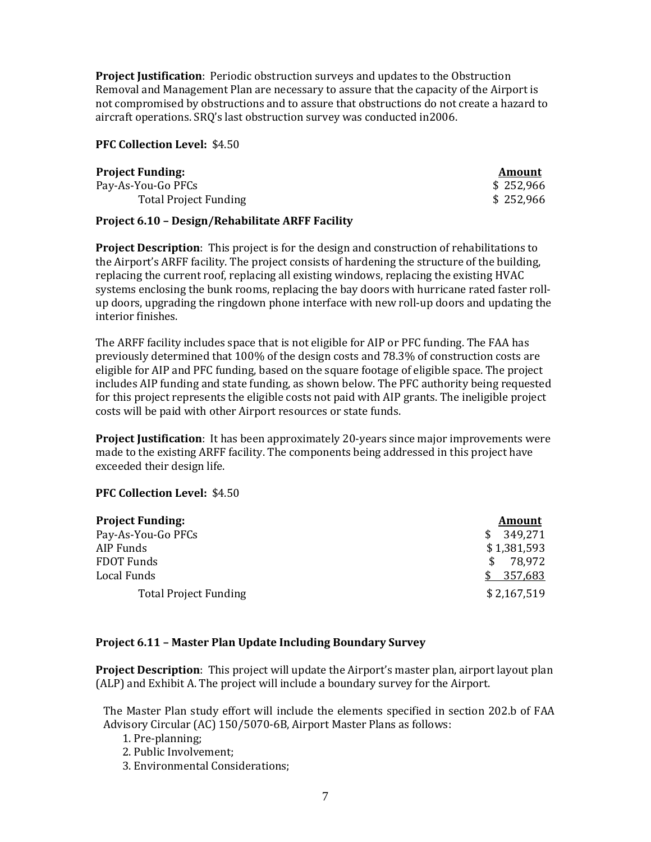**Project Justification**: Periodic obstruction surveys and updates to the Obstruction Removal and Management Plan are necessary to assure that the capacity of the Airport is not compromised by obstructions and to assure that obstructions do not create a hazard to aircraft operations. SRQ's last obstruction survey was conducted in2006.

## **PFC Collection Level:** \$4.50

| Project Funding:             | Amount    |
|------------------------------|-----------|
| Pay-As-You-Go PFCs           | \$252,966 |
| <b>Total Project Funding</b> | \$252,966 |

# **Project 6.10 – Design/Rehabilitate ARFF Facility**

**Project Description**: This project is for the design and construction of rehabilitations to the Airport's ARFF facility. The project consists of hardening the structure of the building, replacing the current roof, replacing all existing windows, replacing the existing HVAC systems enclosing the bunk rooms, replacing the bay doors with hurricane rated faster rollup doors, upgrading the ringdown phone interface with new roll-up doors and updating the interior finishes.

The ARFF facility includes space that is not eligible for AIP or PFC funding. The FAA has previously determined that 100% of the design costs and 78.3% of construction costs are eligible for AIP and PFC funding, based on the square footage of eligible space. The project includes AIP funding and state funding, as shown below. The PFC authority being requested for this project represents the eligible costs not paid with AIP grants. The ineligible project costs will be paid with other Airport resources or state funds.

**Project Justification**: It has been approximately 20-years since major improvements were made to the existing ARFF facility. The components being addressed in this project have exceeded their design life.

# **PFC Collection Level:** \$4.50

| <b>Project Funding:</b>      | <b>Amount</b>  |
|------------------------------|----------------|
| Pay-As-You-Go PFCs           | 349,271<br>SS. |
| AIP Funds                    | \$1,381,593    |
| <b>FDOT Funds</b>            | 78.972<br>SS.  |
| Local Funds                  | \$357,683      |
| <b>Total Project Funding</b> | \$2,167,519    |

# **Project 6.11 – Master Plan Update Including Boundary Survey**

**Project Description**: This project will update the Airport's master plan, airport layout plan (ALP) and Exhibit A. The project will include a boundary survey for the Airport.

The Master Plan study effort will include the elements specified in section 202.b of FAA Advisory Circular (AC) 150/5070-6B, Airport Master Plans as follows:

1. Pre-planning;

2. Public Involvement;

3. Environmental Considerations;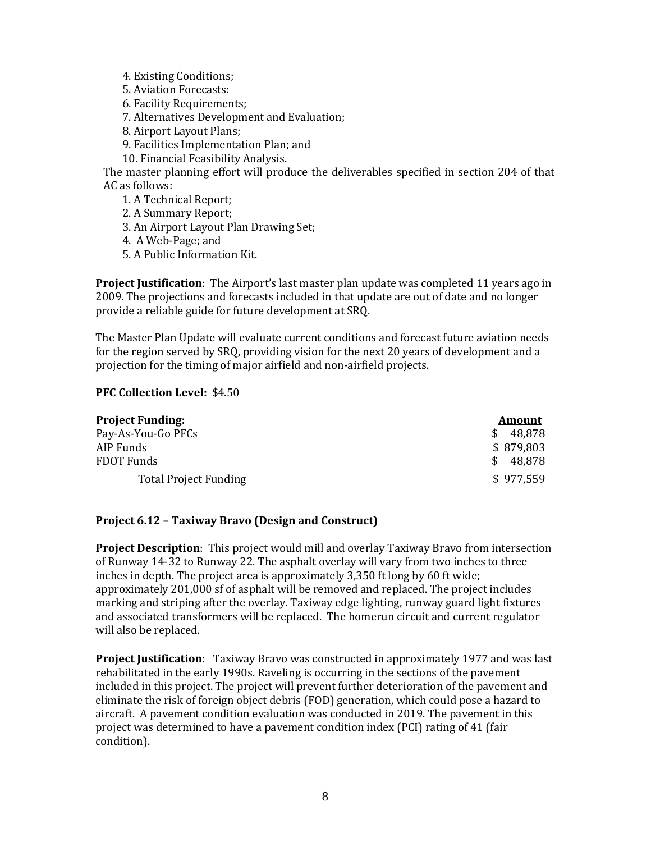- 4. Existing Conditions;
- 5. Aviation Forecasts:
- 6. Facility Requirements;
- 7. Alternatives Development and Evaluation;
- 8. Airport Layout Plans;
- 9. Facilities Implementation Plan; and
- 10. Financial Feasibility Analysis.

The master planning effort will produce the deliverables specified in section 204 of that AC as follows:

- 1. A Technical Report;
- 2. A Summary Report;
- 3. An Airport Layout Plan Drawing Set;
- 4. A Web-Page; and
- 5. A Public Information Kit.

**Project Justification**: The Airport's last master plan update was completed 11 years ago in 2009. The projections and forecasts included in that update are out of date and no longer provide a reliable guide for future development at SRQ.

The Master Plan Update will evaluate current conditions and forecast future aviation needs for the region served by SRQ, providing vision for the next 20 years of development and a projection for the timing of major airfield and non-airfield projects.

# **PFC Collection Level:** \$4.50

| <b>Project Funding:</b>      | <b>Amount</b> |
|------------------------------|---------------|
| Pay-As-You-Go PFCs           | 48.878<br>SS. |
| AIP Funds                    | \$879,803     |
| FDOT Funds                   | 48,878        |
| <b>Total Project Funding</b> | \$977.559     |

# **Project 6.12 – Taxiway Bravo (Design and Construct)**

**Project Description**: This project would mill and overlay Taxiway Bravo from intersection of Runway 14-32 to Runway 22. The asphalt overlay will vary from two inches to three inches in depth. The project area is approximately 3,350 ft long by 60 ft wide; approximately 201,000 sf of asphalt will be removed and replaced. The project includes marking and striping after the overlay. Taxiway edge lighting, runway guard light fixtures and associated transformers will be replaced. The homerun circuit and current regulator will also be replaced.

**Project Justification**: Taxiway Bravo was constructed in approximately 1977 and was last rehabilitated in the early 1990s. Raveling is occurring in the sections of the pavement included in this project. The project will prevent further deterioration of the pavement and eliminate the risk of foreign object debris (FOD) generation, which could pose a hazard to aircraft. A pavement condition evaluation was conducted in 2019. The pavement in this project was determined to have a pavement condition index (PCI) rating of 41 (fair condition).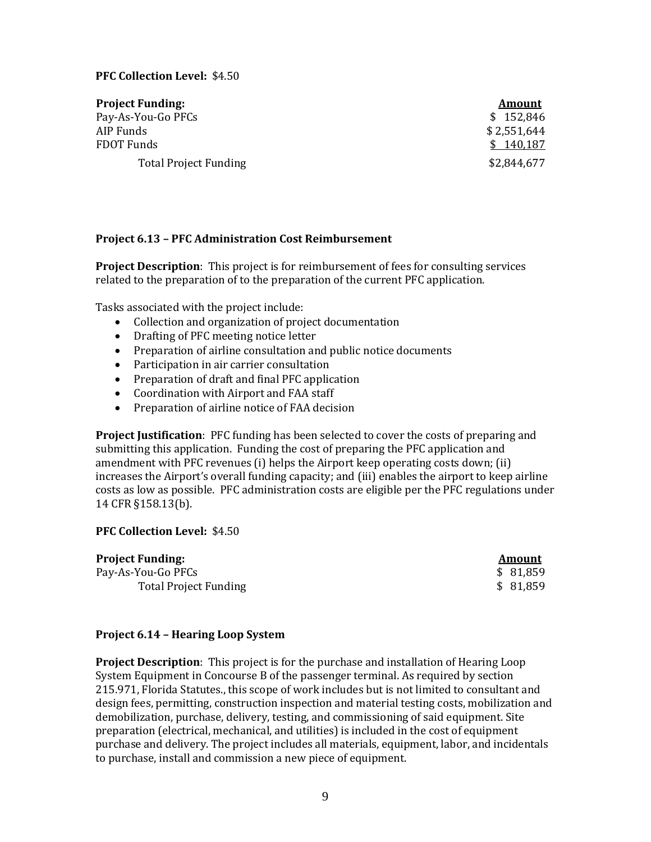# **PFC Collection Level:** \$4.50

| <b>Project Funding:</b>      | <b>Amount</b> |
|------------------------------|---------------|
| Pay-As-You-Go PFCs           | \$152,846     |
| AIP Funds                    | \$2,551,644   |
| FDOT Funds                   | \$140,187     |
| <b>Total Project Funding</b> | \$2,844,677   |

## **Project 6.13 – PFC Administration Cost Reimbursement**

**Project Description**: This project is for reimbursement of fees for consulting services related to the preparation of to the preparation of the current PFC application.

Tasks associated with the project include:

- Collection and organization of project documentation
- Drafting of PFC meeting notice letter
- Preparation of airline consultation and public notice documents
- Participation in air carrier consultation
- Preparation of draft and final PFC application
- Coordination with Airport and FAA staff
- Preparation of airline notice of FAA decision

**Project Justification**: PFC funding has been selected to cover the costs of preparing and submitting this application. Funding the cost of preparing the PFC application and amendment with PFC revenues (i) helps the Airport keep operating costs down; (ii) increases the Airport's overall funding capacity; and (iii) enables the airport to keep airline costs as low as possible. PFC administration costs are eligible per the PFC regulations under 14 CFR §158.13(b).

#### **PFC Collection Level:** \$4.50

| <b>Project Funding:</b>      | Amount   |
|------------------------------|----------|
| Pay-As-You-Go PFCs           | \$81,859 |
| <b>Total Project Funding</b> | \$81,859 |

| Amount |        |  |  |
|--------|--------|--|--|
| \$     | 81,859 |  |  |
| \$     | 81.859 |  |  |

#### **Project 6.14 – Hearing Loop System**

**Project Description**: This project is for the purchase and installation of Hearing Loop System Equipment in Concourse B of the passenger terminal. As required by section 215.971, Florida Statutes., this scope of work includes but is not limited to consultant and design fees, permitting, construction inspection and material testing costs, mobilization and demobilization, purchase, delivery, testing, and commissioning of said equipment. Site preparation (electrical, mechanical, and utilities) is included in the cost of equipment purchase and delivery. The project includes all materials, equipment, labor, and incidentals to purchase, install and commission a new piece of equipment.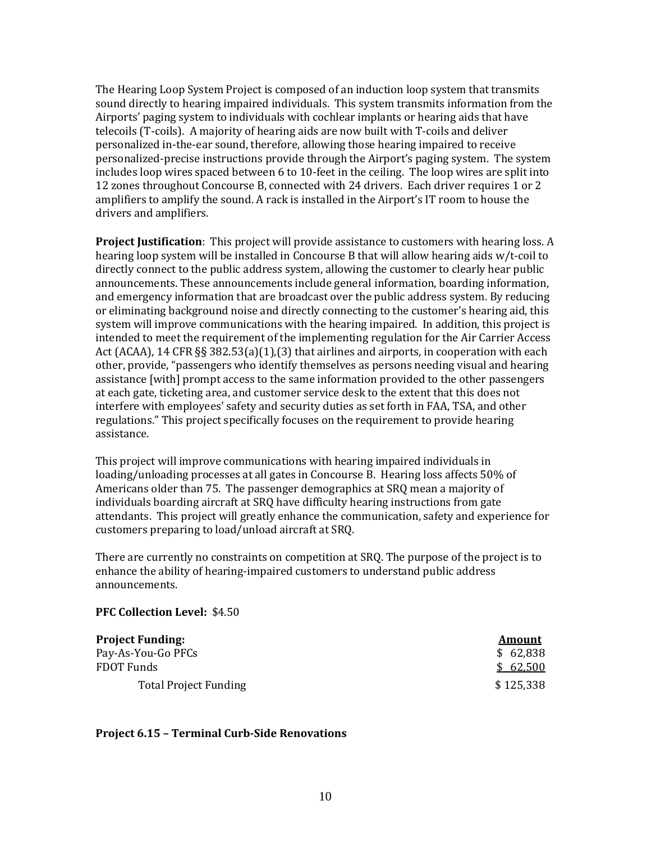The Hearing Loop System Project is composed of an induction loop system that transmits sound directly to hearing impaired individuals. This system transmits information from the Airports' paging system to individuals with cochlear implants or hearing aids that have telecoils (T-coils). A majority of hearing aids are now built with T-coils and deliver personalized in-the-ear sound, therefore, allowing those hearing impaired to receive personalized-precise instructions provide through the Airport's paging system. The system includes loop wires spaced between 6 to 10-feet in the ceiling. The loop wires are split into 12 zones throughout Concourse B, connected with 24 drivers. Each driver requires 1 or 2 amplifiers to amplify the sound. A rack is installed in the Airport's IT room to house the drivers and amplifiers.

**Project Justification**: This project will provide assistance to customers with hearing loss. A hearing loop system will be installed in Concourse B that will allow hearing aids w/t-coil to directly connect to the public address system, allowing the customer to clearly hear public announcements. These announcements include general information, boarding information, and emergency information that are broadcast over the public address system. By reducing or eliminating background noise and directly connecting to the customer's hearing aid, this system will improve communications with the hearing impaired. In addition, this project is intended to meet the requirement of the implementing regulation for the Air Carrier Access Act (ACAA), 14 CFR §§ 382.53(a)(1),(3) that airlines and airports, in cooperation with each other, provide, "passengers who identify themselves as persons needing visual and hearing assistance [with] prompt access to the same information provided to the other passengers at each gate, ticketing area, and customer service desk to the extent that this does not interfere with employees' safety and security duties as set forth in FAA, TSA, and other regulations." This project specifically focuses on the requirement to provide hearing assistance.

This project will improve communications with hearing impaired individuals in loading/unloading processes at all gates in Concourse B. Hearing loss affects 50% of Americans older than 75. The passenger demographics at SRQ mean a majority of individuals boarding aircraft at SRQ have difficulty hearing instructions from gate attendants. This project will greatly enhance the communication, safety and experience for customers preparing to load/unload aircraft at SRQ.

There are currently no constraints on competition at SRQ. The purpose of the project is to enhance the ability of hearing-impaired customers to understand public address announcements.

#### **PFC Collection Level:** \$4.50

| <b>Project Funding:</b>      | <b>Amount</b> |
|------------------------------|---------------|
| Pay-As-You-Go PFCs           | \$62,838      |
| FDOT Funds                   | \$62,500      |
| <b>Total Project Funding</b> | \$125,338     |

## **Project 6.15 – Terminal Curb-Side Renovations**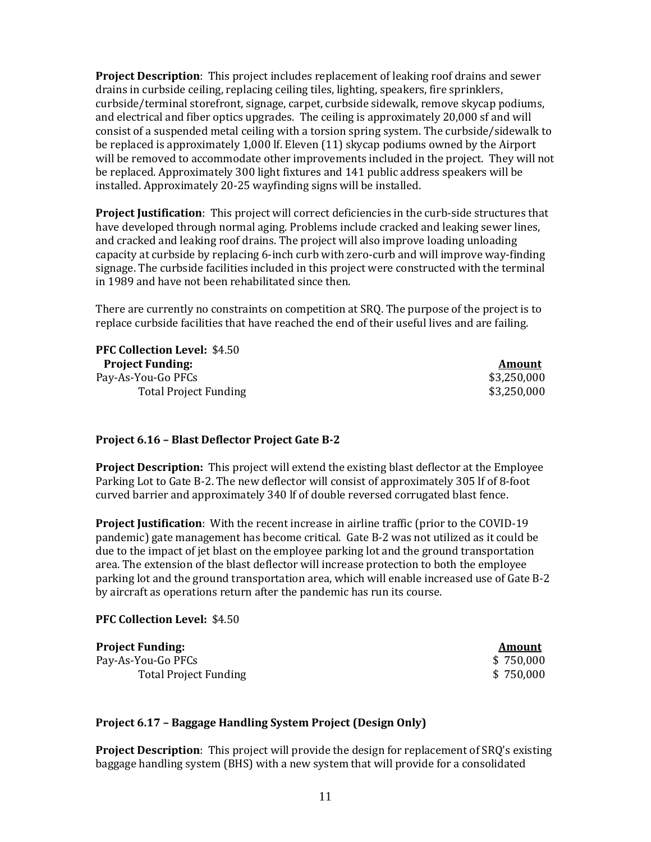**Project Description**: This project includes replacement of leaking roof drains and sewer drains in curbside ceiling, replacing ceiling tiles, lighting, speakers, fire sprinklers, curbside/terminal storefront, signage, carpet, curbside sidewalk, remove skycap podiums, and electrical and fiber optics upgrades. The ceiling is approximately 20,000 sf and will consist of a suspended metal ceiling with a torsion spring system. The curbside/sidewalk to be replaced is approximately 1,000 lf. Eleven (11) skycap podiums owned by the Airport will be removed to accommodate other improvements included in the project. They will not be replaced. Approximately 300 light fixtures and 141 public address speakers will be installed. Approximately 20-25 wayfinding signs will be installed.

**Project Justification**: This project will correct deficiencies in the curb-side structures that have developed through normal aging. Problems include cracked and leaking sewer lines, and cracked and leaking roof drains. The project will also improve loading unloading capacity at curbside by replacing 6-inch curb with zero-curb and will improve way-finding signage. The curbside facilities included in this project were constructed with the terminal in 1989 and have not been rehabilitated since then.

There are currently no constraints on competition at SRQ. The purpose of the project is to replace curbside facilities that have reached the end of their useful lives and are failing.

**PFC Collection Level:** \$4.50 **Project Funding:** Amount Pay-As-You-Go PFCs<br>Total Project Funding \$3,250,000 \$3,250,000 Total Project Funding

## **Project 6.16 – Blast Deflector Project Gate B-2**

**Project Description:** This project will extend the existing blast deflector at the Employee Parking Lot to Gate B-2. The new deflector will consist of approximately 305 lf of 8-foot curved barrier and approximately 340 lf of double reversed corrugated blast fence.

**Project Justification**: With the recent increase in airline traffic (prior to the COVID-19 pandemic) gate management has become critical. Gate B-2 was not utilized as it could be due to the impact of jet blast on the employee parking lot and the ground transportation area. The extension of the blast deflector will increase protection to both the employee parking lot and the ground transportation area, which will enable increased use of Gate B-2 by aircraft as operations return after the pandemic has run its course.

#### **PFC Collection Level:** \$4.50

| <b>Project Funding:</b>      | Amount    |
|------------------------------|-----------|
| Pay-As-You-Go PFCs           | \$750,000 |
| <b>Total Project Funding</b> | \$750,000 |

## **Project 6.17 – Baggage Handling System Project (Design Only)**

**Project Description**: This project will provide the design for replacement of SRQ's existing baggage handling system (BHS) with a new system that will provide for a consolidated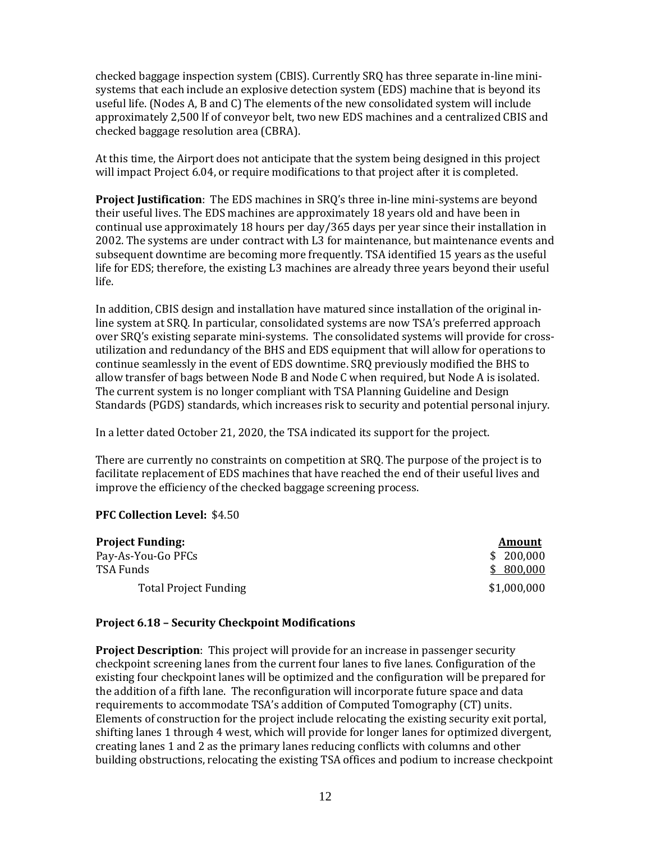checked baggage inspection system (CBIS). Currently SRQ has three separate in-line minisystems that each include an explosive detection system (EDS) machine that is beyond its useful life. (Nodes A, B and C) The elements of the new consolidated system will include approximately 2,500 lf of conveyor belt, two new EDS machines and a centralized CBIS and checked baggage resolution area (CBRA).

At this time, the Airport does not anticipate that the system being designed in this project will impact Project 6.04, or require modifications to that project after it is completed.

**Project Justification**: The EDS machines in SRQ's three in-line mini-systems are beyond their useful lives. The EDS machines are approximately 18 years old and have been in continual use approximately 18 hours per day/365 days per year since their installation in 2002. The systems are under contract with L3 for maintenance, but maintenance events and subsequent downtime are becoming more frequently. TSA identified 15 years as the useful life for EDS; therefore, the existing L3 machines are already three years beyond their useful life.

In addition, CBIS design and installation have matured since installation of the original inline system at SRQ. In particular, consolidated systems are now TSA's preferred approach over SRQ's existing separate mini-systems. The consolidated systems will provide for crossutilization and redundancy of the BHS and EDS equipment that will allow for operations to continue seamlessly in the event of EDS downtime. SRQ previously modified the BHS to allow transfer of bags between Node B and Node C when required, but Node A is isolated. The current system is no longer compliant with TSA Planning Guideline and Design Standards (PGDS) standards, which increases risk to security and potential personal injury.

In a letter dated October 21, 2020, the TSA indicated its support for the project.

There are currently no constraints on competition at SRQ. The purpose of the project is to facilitate replacement of EDS machines that have reached the end of their useful lives and improve the efficiency of the checked baggage screening process.

## **PFC Collection Level:** \$4.50

| <b>Project Funding:</b>      | Amount      |
|------------------------------|-------------|
| Pay-As-You-Go PFCs           | \$200,000   |
| TSA Funds                    | \$800,000   |
| <b>Total Project Funding</b> | \$1,000,000 |

# **Project 6.18 – Security Checkpoint Modifications**

**Project Description**: This project will provide for an increase in passenger security checkpoint screening lanes from the current four lanes to five lanes. Configuration of the existing four checkpoint lanes will be optimized and the configuration will be prepared for the addition of a fifth lane. The reconfiguration will incorporate future space and data requirements to accommodate TSA's addition of Computed Tomography (CT) units. Elements of construction for the project include relocating the existing security exit portal, shifting lanes 1 through 4 west, which will provide for longer lanes for optimized divergent, creating lanes 1 and 2 as the primary lanes reducing conflicts with columns and other building obstructions, relocating the existing TSA offices and podium to increase checkpoint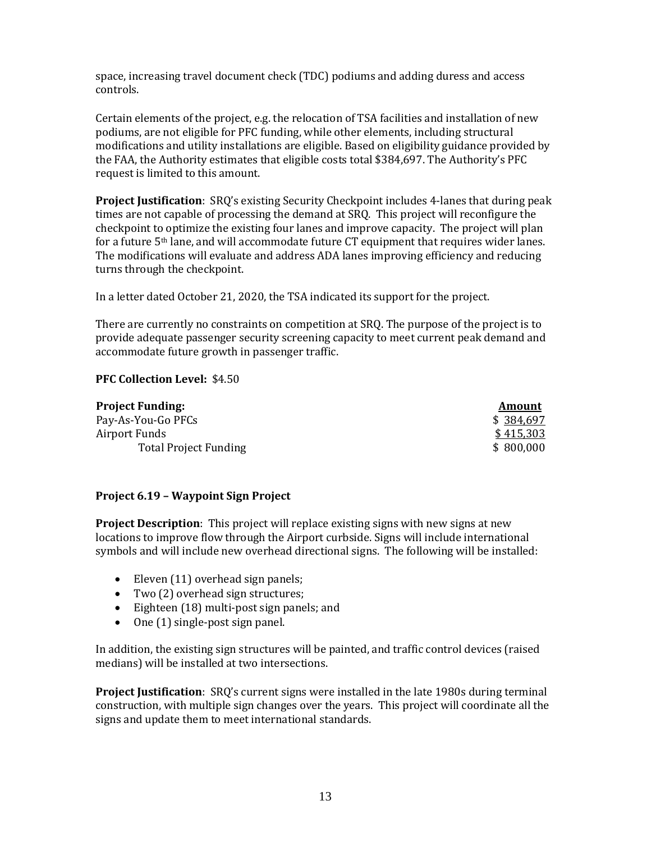space, increasing travel document check (TDC) podiums and adding duress and access controls.

Certain elements of the project, e.g. the relocation of TSA facilities and installation of new podiums, are not eligible for PFC funding, while other elements, including structural modifications and utility installations are eligible. Based on eligibility guidance provided by the FAA, the Authority estimates that eligible costs total \$384,697. The Authority's PFC request is limited to this amount.

**Project Justification**: SRQ's existing Security Checkpoint includes 4-lanes that during peak times are not capable of processing the demand at SRQ. This project will reconfigure the checkpoint to optimize the existing four lanes and improve capacity. The project will plan for a future 5th lane, and will accommodate future CT equipment that requires wider lanes. The modifications will evaluate and address ADA lanes improving efficiency and reducing turns through the checkpoint.

In a letter dated October 21, 2020, the TSA indicated its support for the project.

There are currently no constraints on competition at SRQ. The purpose of the project is to provide adequate passenger security screening capacity to meet current peak demand and accommodate future growth in passenger traffic.

# **PFC Collection Level:** \$4.50

| <b>Project Funding:</b>      | <b>Amount</b> |
|------------------------------|---------------|
| Pay-As-You-Go PFCs           | \$384,697     |
| Airport Funds                | \$415,303     |
| <b>Total Project Funding</b> | \$800,000     |

# **Project 6.19 – Waypoint Sign Project**

**Project Description**: This project will replace existing signs with new signs at new locations to improve flow through the Airport curbside. Signs will include international symbols and will include new overhead directional signs. The following will be installed:

- Eleven (11) overhead sign panels;
- Two (2) overhead sign structures;
- Eighteen (18) multi-post sign panels; and
- One (1) single-post sign panel.

In addition, the existing sign structures will be painted, and traffic control devices (raised medians) will be installed at two intersections.

**Project Justification**: SRQ's current signs were installed in the late 1980s during terminal construction, with multiple sign changes over the years. This project will coordinate all the signs and update them to meet international standards.